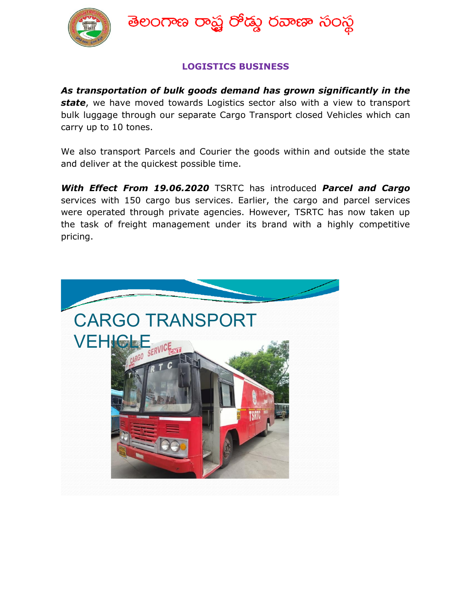

తెలంగాణ రాష్ట్ర రోడ్మ రవాణా సంస్థ

## LOGISTICS BUSINESS

As transportation of bulk goods demand has grown significantly in the state, we have moved towards Logistics sector also with a view to transport bulk luggage through our separate Cargo Transport closed Vehicles which can carry up to 10 tones.

We also transport Parcels and Courier the goods within and outside the state and deliver at the quickest possible time.

With Effect From 19.06.2020 TSRTC has introduced Parcel and Cargo services with 150 cargo bus services. Earlier, the cargo and parcel services were operated through private agencies. However, TSRTC has now taken up the task of freight management under its brand with a highly competitive pricing.